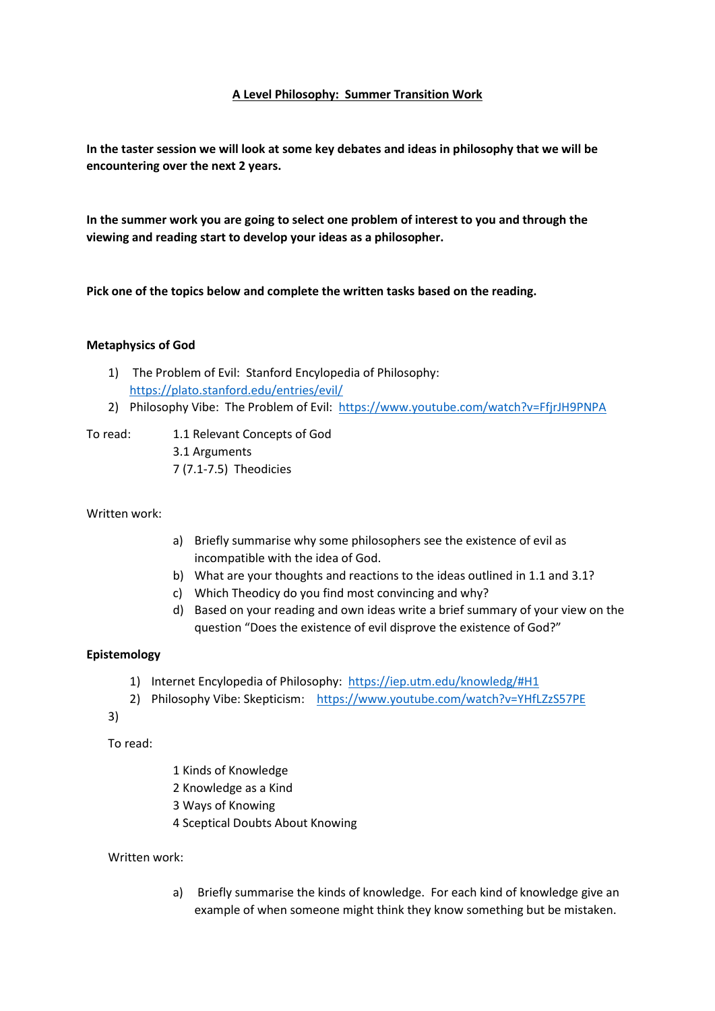# **A Level Philosophy: Summer Transition Work**

**In the taster session we will look at some key debates and ideas in philosophy that we will be encountering over the next 2 years.**

**In the summer work you are going to select one problem of interest to you and through the viewing and reading start to develop your ideas as a philosopher.** 

**Pick one of the topics below and complete the written tasks based on the reading.** 

## **Metaphysics of God**

- 1) The Problem of Evil: Stanford Encylopedia of Philosophy: <https://plato.stanford.edu/entries/evil/>
- 2) Philosophy Vibe: The Problem of Evil: <https://www.youtube.com/watch?v=FfjrJH9PNPA>
- 

To read: 1.1 Relevant Concepts of God

3.1 Arguments 7 (7.1-7.5) Theodicies

Written work:

- a) Briefly summarise why some philosophers see the existence of evil as incompatible with the idea of God.
- b) What are your thoughts and reactions to the ideas outlined in 1.1 and 3.1?
- c) Which Theodicy do you find most convincing and why?
- d) Based on your reading and own ideas write a brief summary of your view on the question "Does the existence of evil disprove the existence of God?"

## **Epistemology**

- 1) Internet Encylopedia of Philosophy: <https://iep.utm.edu/knowledg/#H1>
- 2) Philosophy Vibe: Skepticism: <https://www.youtube.com/watch?v=YHfLZzS57PE>

3)

To read:

- 1 Kinds of Knowledge
- 2 Knowledge as a Kind
- 3 Ways of Knowing
- 4 Sceptical Doubts About Knowing

## Written work:

a) Briefly summarise the kinds of knowledge. For each kind of knowledge give an example of when someone might think they know something but be mistaken.